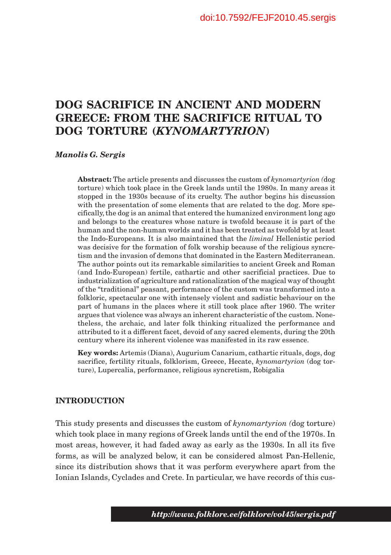# **DOG SACRIFICE IN ANCIENT AND MODERN GREECE: FROM THE SACRIFICE RITUAL TO DOG TORTURE (***KYNOMARTYRION***)**

#### *Manolis G. Sergis*

**Abstract:** The article presents and discusses the custom of *kynomartyrion (*dog torture) which took place in the Greek lands until the 1980s. In many areas it stopped in the 1930s because of its cruelty. The author begins his discussion with the presentation of some elements that are related to the dog. More specifically, the dog is an animal that entered the humanized environment long ago and belongs to the creatures whose nature is twofold because it is part of the human and the non-human worlds and it has been treated as twofold by at least the Indo-Europeans. It is also maintained that the *liminal* Hellenistic period was decisive for the formation of folk worship because of the religious syncretism and the invasion of demons that dominated in the Eastern Mediterranean. The author points out its remarkable similarities to ancient Greek and Roman (and Indo-European) fertile, cathartic and other sacrificial practices. Due to industrialization of agriculture and rationalization of the magical way of thought of the "traditional" peasant, performance of the custom was transformed into a folkloric, spectacular one with intensely violent and sadistic behaviour on the part of humans in the places where it still took place after 1960. The writer argues that violence was always an inherent characteristic of the custom. Nonetheless, the archaic, and later folk thinking ritualized the performance and attributed to it a different facet, devoid of any sacred elements, during the 20th century where its inherent violence was manifested in its raw essence.

**Key words:** Artemis (Diana), Augurium Canarium, cathartic rituals, dogs, dog sacrifice, fertility rituals, folklorism, Greece, Hecate, *kynomartyrion* (dog torture), Lupercalia, performance, religious syncretism, Robigalia

#### **INTRODUCTION**

This study presents and discusses the custom of *kynomartyrion (*dog torture) which took place in many regions of Greek lands until the end of the 1970s. In most areas, however, it had faded away as early as the 1930s. In all its five forms, as will be analyzed below, it can be considered almost Pan-Hellenic, since its distribution shows that it was perform everywhere apart from the Ionian Islands, Cyclades and Crete. In particular, we have records of this cus-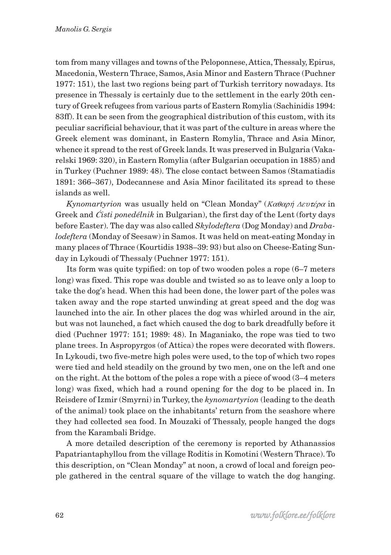tom from many villages and towns of the Peloponnese, Attica, Thessaly, Epirus, Macedonia, Western Thrace, Samos, Asia Minor and Eastern Thrace (Puchner 1977: 151), the last two regions being part of Turkish territory nowadays. Its presence in Thessaly is certainly due to the settlement in the early 20th century of Greek refugees from various parts of Eastern Romylia (Sachinidis 1994: 83ff). It can be seen from the geographical distribution of this custom, with its peculiar sacrificial behaviour, that it was part of the culture in areas where the Greek element was dominant, in Eastern Romylia, Thrace and Asia Minor, whence it spread to the rest of Greek lands. It was preserved in Bulgaria (Vakarelski 1969: 320), in Eastern Romylia (after Bulgarian occupation in 1885) and in Turkey (Puchner 1989: 48). The close contact between Samos (Stamatiadis 1891: 366–367), Dodecannese and Asia Minor facilitated its spread to these islands as well.

*Kynomartyrion* was usually held on "Clean Monday" (Καθαρή Δευτέρα in Greek and *Ćisti ponedélnik* in Bulgarian), the first day of the Lent (forty days before Easter). The day was also called *Skylodeftera* (Dog Monday) and *Drabalodeftera* (Monday of Seesaw) in Samos. It was held on meat-eating Monday in many places of Thrace (Kourtidis 1938–39: 93) but also on Cheese-Eating Sunday in Lykoudi of Thessaly (Puchner 1977: 151).

Its form was quite typified: on top of two wooden poles a rope (6–7 meters long) was fixed. This rope was double and twisted so as to leave only a loop to take the dog's head. When this had been done, the lower part of the poles was taken away and the rope started unwinding at great speed and the dog was launched into the air. In other places the dog was whirled around in the air, but was not launched, a fact which caused the dog to bark dreadfully before it died (Puchner 1977: 151; 1989: 48). In Maganiako, the rope was tied to two plane trees. In Aspropyrgos (of Attica) the ropes were decorated with flowers. In Lykoudi, two five-metre high poles were used, to the top of which two ropes were tied and held steadily on the ground by two men, one on the left and one on the right. At the bottom of the poles a rope with a piece of wood (3–4 meters long) was fixed, which had a round opening for the dog to be placed in. In Reisdere of Izmir (Smyrni) in Turkey, the *kynomartyrion* (leading to the death of the animal) took place on the inhabitants' return from the seashore where they had collected sea food. In Mouzaki of Thessaly, people hanged the dogs from the Karambali Bridge.

A more detailed description of the ceremony is reported by Athanassios Papatriantaphyllou from the village Roditis in Komotini (Western Thrace). To this description, on "Clean Monday" at noon, a crowd of local and foreign people gathered in the central square of the village to watch the dog hanging.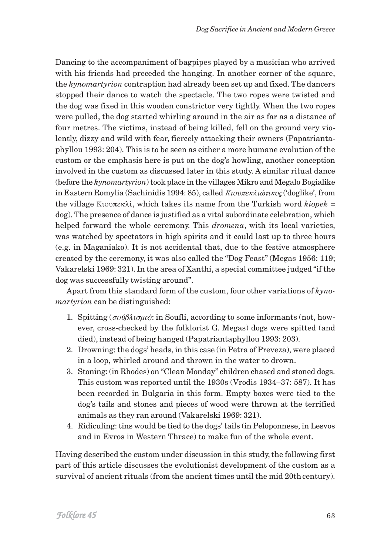Dancing to the accompaniment of bagpipes played by a musician who arrived with his friends had preceded the hanging. In another corner of the square, the *kynomartyrion* contraption had already been set up and fixed. The dancers stopped their dance to watch the spectacle. The two ropes were twisted and the dog was fixed in this wooden constrictor very tightly. When the two ropes were pulled, the dog started whirling around in the air as far as a distance of four metres. The victims, instead of being killed, fell on the ground very violently, dizzy and wild with fear, fiercely attacking their owners (Papatriantaphyllou 1993: 204). This is to be seen as either a more humane evolution of the custom or the emphasis here is put on the dog's howling, another conception involved in the custom as discussed later in this study. A similar ritual dance (before the *kynomartyrion*) took place in the villages Mikro and Megalo Bogialike in Eastern Romylia (Sachinidis 1994: 85), called Kιουπεκλιώτικος ('doglike', from the village K<sub>tov</sub> $\pi_{k}$ ; which takes its name from the Turkish word *kiopek* = dog). The presence of dance is justified as a vital subordinate celebration, which helped forward the whole ceremony. This *dromena*, with its local varieties, was watched by spectators in high spirits and it could last up to three hours (e.g. in Maganiako). It is not accidental that, due to the festive atmosphere created by the ceremony, it was also called the "Dog Feast" (Megas 1956: 119; Vakarelski 1969: 321). In the area of Xanthi, a special committee judged "if the dog was successfully twisting around".

Apart from this standard form of the custom, four other variations of *kynomartyrion* can be distinguished:

- 1. Spitting ( $\sigma \omega \beta \lambda \iota \sigma \mu \alpha$ ): in Soufli, according to some informants (not, however, cross-checked by the folklorist G. Megas) dogs were spitted (and died), instead of being hanged (Papatriantaphyllou 1993: 203).
- 2. Drowning: the dogs' heads, in this case (in Petra of Preveza), were placed in a loop, whirled around and thrown in the water to drown.
- 3. Stoning: (in Rhodes) on "Clean Monday" children chased and stoned dogs. This custom was reported until the 1930s (Vrodis 1934–37: 587). It has been recorded in Bulgaria in this form. Empty boxes were tied to the dog's tails and stones and pieces of wood were thrown at the terrified animals as they ran around (Vakarelski 1969: 321).
- 4. Ridiculing: tins would be tied to the dogs' tails (in Peloponnese, in Lesvos and in Evros in Western Thrace) to make fun of the whole event.

Having described the custom under discussion in this study, the following first part of this article discusses the evolutionist development of the custom as a survival of ancient rituals (from the ancient times until the mid 20th century).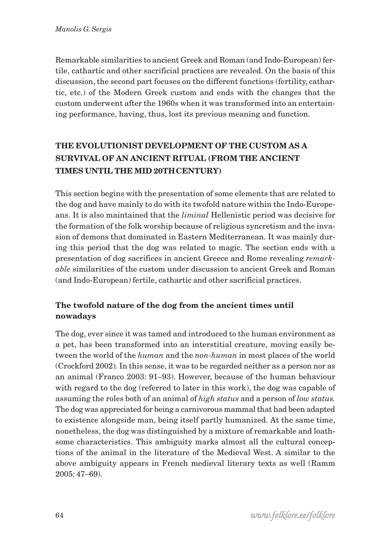Remarkable similarities to ancient Greek and Roman (and Indo-European) fertile, cathartic and other sacrificial practices are revealed. On the basis of this discussion, the second part focuses on the different functions (fertility, cathartic, etc.) of the Modern Greek custom and ends with the changes that the custom underwent after the 1960s when it was transformed into an entertaining performance, having, thus, lost its previous meaning and function.

# **THE EVOLUTIONIST DEVELOPMENT OF THE CUSTOM AS A SURVIVAL OF AN ANCIENT RITUAL (FROM THE ANCIENT TIMES UNTIL THE MID 20THCENTURY)**

This section begins with the presentation of some elements that are related to the dog and have mainly to do with its twofold nature within the Indo-Europeans. It is also maintained that the *liminal* Hellenistic period was decisive for the formation of the folk worship because of religious syncretism and the invasion of demons that dominated in Eastern Mediterranean. It was mainly during this period that the dog was related to magic. The section ends with a presentation of dog sacrifices in ancient Greece and Rome revealing *remarkable* similarities of the custom under discussion to ancient Greek and Roman (and Indo-European) fertile, cathartic and other sacrificial practices.

# **The twofold nature of the dog from the ancient times until nowadays**

The dog, ever since it was tamed and introduced to the human environment as a pet, has been transformed into an interstitial creature, moving easily between the world of the *human* and the *non-human* in most places of the world (Crockford 2002)*.* In this sense, it was to be regarded neither as a person nor as an animal (Franco 2003: 91–93). However, because of the human behaviour with regard to the dog (referred to later in this work), the dog was capable of assuming the roles both of an animal of *high status* and a person of *low status.* The dog was appreciated for being a carnivorous mammal that had been adapted to existence alongside man, being itself partly humanized. At the same time, nonetheless, the dog was distinguished by a mixture of remarkable and loathsome characteristics. This ambiguity marks almost all the cultural conceptions of the animal in the literature of the Medieval West. A similar to the above ambiguity appears in French medieval literary texts as well (Ramm 2005: 47–69).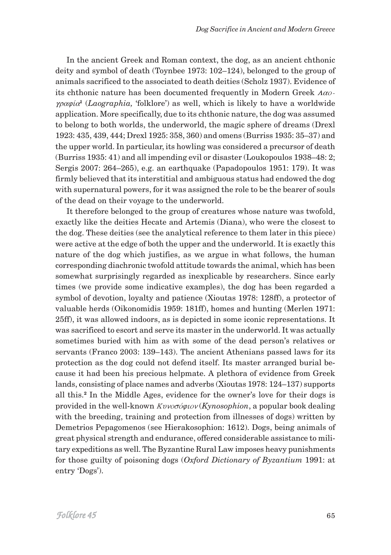In the ancient Greek and Roman context, the dog, as an ancient chthonic deity and symbol of death (Toynbee 1973: 102–124), belonged to the group of animals sacrificed to the associated to death deities (Scholz 1937). Evidence of its chthonic nature has been documented frequently in Modern Greek  $A\alpha o$ graf…a**<sup>1</sup>** (*Laographia,* 'folklore') as well, which is likely to have a worldwide application. More specifically, due to its chthonic nature, the dog was assumed to belong to both worlds, the underworld, the magic sphere of dreams (Drexl 1923: 435, 439, 444; Drexl 1925: 358, 360) and omens (Burriss 1935: 35–37) and the upper world. In particular, its howling was considered a precursor of death (Burriss 1935: 41) and all impending evil or disaster (Loukopoulos 1938–48: 2; Sergis 2007: 264–265), e.g. an earthquake (Papadopoulos 1951: 179). It was firmly believed that its interstitial and ambiguous status had endowed the dog with supernatural powers, for it was assigned the role to be the bearer of souls of the dead on their voyage to the underworld.

It therefore belonged to the group of creatures whose nature was twofold, exactly like the deities Hecate and Artemis (Diana), who were the closest to the dog. These deities (see the analytical reference to them later in this piece) were active at the edge of both the upper and the underworld. It is exactly this nature of the dog which justifies, as we argue in what follows, the human corresponding diachronic twofold attitude towards the animal, which has been somewhat surprisingly regarded as inexplicable by researchers. Since early times (we provide some indicative examples), the dog has been regarded a symbol of devotion, loyalty and patience (Xioutas 1978: 128ff), a protector of valuable herds (Oikonomidis 1959: 181ff), homes and hunting (Merlen 1971: 25ff), it was allowed indoors, as is depicted in some iconic representations. It was sacrificed to escort and serve its master in the underworld. It was actually sometimes buried with him as with some of the dead person's relatives or servants (Franco 2003: 139–143). The ancient Athenians passed laws for its protection as the dog could not defend itself. Its master arranged burial because it had been his precious helpmate. A plethora of evidence from Greek lands, consisting of place names and adverbs (Xioutas 1978: 124–137) supports all this.**<sup>2</sup>** In the Middle Ages, evidence for the owner's love for their dogs is provided in the well-known  $Kv\nu\sigma\sigma\phi\nu\sigma(Kynosophion)$ , a popular book dealing with the breeding, training and protection from illnesses of dogs) written by Demetrios Pepagomenos (see Hierakosophion: 1612). Dogs, being animals of great physical strength and endurance, offered considerable assistance to military expeditions as well. The Byzantine Rural Law imposes heavy punishments for those guilty of poisoning dogs (*Oxford Dictionary of Byzantium* 1991: at entry 'Dogs').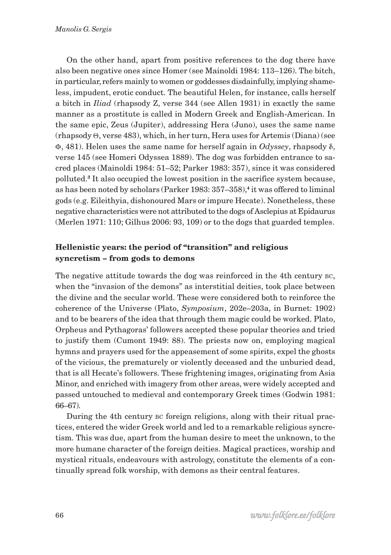On the other hand, apart from positive references to the dog there have also been negative ones since Homer (see Mainoldi 1984: 113–126). The bitch, in particular, refers mainly to women or goddesses disdainfully, implying shameless, impudent, erotic conduct. The beautiful Helen, for instance, calls herself a bitch in *Iliad* (rhapsody Z, verse 344 (see Allen 1931) in exactly the same manner as a prostitute is called in Modern Greek and English-American. In the same epic, Zeus (Jupiter), addressing Hera (Juno), uses the same name  $(\text{rhangody } \Theta, \text{verse } 483)$ , which, in her turn, Hera uses for Artemis (Diana) (see  $\Phi$ , 481). Helen uses the same name for herself again in *Odyssey*, rhapsody  $\delta$ , verse 145 (see Homeri Odyssea 1889). The dog was forbidden entrance to sacred places (Mainoldi 1984: 51–52; Parker 1983: 357), since it was considered polluted.**3** It also occupied the lowest position in the sacrifice system because, as has been noted by scholars (Parker 1983: 357–358),**4** it was offered to liminal gods (e.g. Eileithyia, dishonoured Mars or impure Hecate). Nonetheless, these negative characteristics were not attributed to the dogs of Asclepius at Epidaurus (Merlen 1971: 110; Gilhus 2006: 93, 109) or to the dogs that guarded temples.

### **Hellenistic years: the period of "transition" and religious syncretism – from gods to demons**

The negative attitude towards the dog was reinforced in the 4th century BC, when the "invasion of the demons" as interstitial deities, took place between the divine and the secular world. These were considered both to reinforce the coherence of the Universe (Plato, *Symposium*, 202e–203a, in Burnet: 1902) and to be bearers of the idea that through them magic could be worked. Plato, Orpheus and Pythagoras' followers accepted these popular theories and tried to justify them (Cumont 1949: 88). The priests now on, employing magical hymns and prayers used for the appeasement of some spirits, expel the ghosts of the vicious, the prematurely or violently deceased and the unburied dead, that is all Hecate's followers. These frightening images, originating from Asia Minor, and enriched with imagery from other areas, were widely accepted and passed untouched to medieval and contemporary Greek times (Godwin 1981: 66–67).

During the 4th century BC foreign religions, along with their ritual practices, entered the wider Greek world and led to a remarkable religious syncretism. This was due, apart from the human desire to meet the unknown, to the more humane character of the foreign deities. Magical practices, worship and mystical rituals, endeavours with astrology, constitute the elements of a continually spread folk worship, with demons as their central features.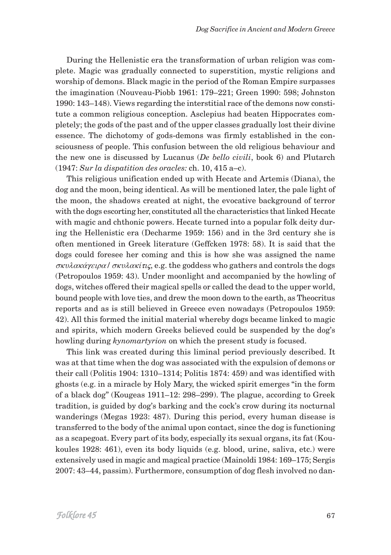During the Hellenistic era the transformation of urban religion was complete. Magic was gradually connected to superstition, mystic religions and worship of demons. Black magic in the period of the Roman Empire surpasses the imagination (Nouveau-Piobb 1961: 179–221; Green 1990: 598; Johnston 1990: 143–148). Views regarding the interstitial race of the demons now constitute a common religious conception. Asclepius had beaten Hippocrates completely; the gods of the past and of the upper classes gradually lost their divine essence. The dichotomy of gods-demons was firmly established in the consciousness of people. This confusion between the old religious behaviour and the new one is discussed by Lucanus (*De bello civili*, book 6) and Plutarch (1947: *Sur la dispatition des oracles:* ch. 10, 415 a–c).

This religious unification ended up with Hecate and Artemis (Diana), the dog and the moon, being identical. As will be mentioned later, the pale light of the moon, the shadows created at night, the evocative background of terror with the dogs escorting her, constituted all the characteristics that linked Hecate with magic and chthonic powers. Hecate turned into a popular folk deity during the Hellenistic era (Decharme 1959: 156) and in the 3rd century she is often mentioned in Greek literature (Geffcken 1978: 58). It is said that the dogs could foresee her coming and this is how she was assigned the name  $\sigma$ Kulaká $\gamma$ Elpa /  $\sigma$ Kulakí $\pi$ , e.g. the goddess who gathers and controls the dogs (Petropoulos 1959: 43). Under moonlight and accompanied by the howling of dogs, witches offered their magical spells or called the dead to the upper world, bound people with love ties, and drew the moon down to the earth, as Theocritus reports and as is still believed in Greece even nowadays (Petropoulos 1959: 42). All this formed the initial material whereby dogs became linked to magic and spirits, which modern Greeks believed could be suspended by the dog's howling during *kynomartyrion* on which the present study is focused.

This link was created during this liminal period previously described. It was at that time when the dog was associated with the expulsion of demons or their call (Politis 1904: 1310–1314; Politis 1874: 459) and was identified with ghosts (e.g. in a miracle by Holy Mary, the wicked spirit emerges "in the form of a black dog" (Kougeas 1911–12: 298–299). The plague, according to Greek tradition, is guided by dog's barking and the cock's crow during its nocturnal wanderings (Megas 1923: 487). During this period, every human disease is transferred to the body of the animal upon contact, since the dog is functioning as a scapegoat. Every part of its body, especially its sexual organs, its fat (Koukoules 1928: 461), even its body liquids (e.g. blood, urine, saliva, etc.) were extensively used in magic and magical practice (Mainoldi 1984: 169–175; Sergis 2007: 43–44, passim). Furthermore, consumption of dog flesh involved no dan-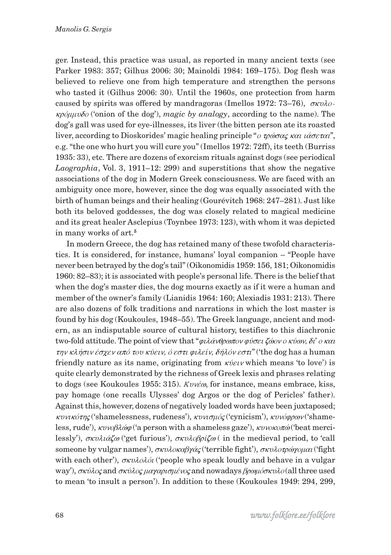ger. Instead, this practice was usual, as reported in many ancient texts (see Parker 1983: 357; Gilhus 2006: 30; Mainoldi 1984: 169–175). Dog flesh was believed to relieve one from high temperature and strengthen the persons who tasted it (Gilhus 2006: 30). Until the 1960s, one protection from harm caused by spirits was offered by mandragoras (Imellos 1972: 73–76),  $\sigma \kappa \nu \lambda \sigma$ - $\kappa \rho \delta \mu \nu \delta \rho$  ('onion of the dog'), *magic by analogy*, according to the name). The dog's gall was used for eye-illnesses, its liver (the bitten person ate its roasted liver, according to Dioskorides' magic healing principle "*ο τρώσας και ιάσεται*", e.g. "the one who hurt you will cure you" (Imellos 1972: 72ff), its teeth (Burriss 1935: 33), etc. There are dozens of exorcism rituals against dogs (see periodical *Laographia*, Vol. 3, 1911–12: 299) and superstitions that show the negative associations of the dog in Modern Greek consciousness. We are faced with an ambiguity once more, however, since the dog was equally associated with the birth of human beings and their healing (Gourévitch 1968: 247–281). Just like both its beloved goddesses, the dog was closely related to magical medicine and its great healer Asclepius (Toynbee 1973: 123), with whom it was depicted in many works of art.**<sup>5</sup>**

In modern Greece, the dog has retained many of these twofold characteristics. It is considered, for instance, humans' loyal companion – "People have never been betrayed by the dog's tail" (Oikonomidis 1959: 156, 181; Oikonomidis 1960: 82–83); it is associated with people's personal life. There is the belief that when the dog's master dies, the dog mourns exactly as if it were a human and member of the owner's family (Lianidis 1964: 160; Alexiadis 1931: 213). There are also dozens of folk traditions and narrations in which the lost master is found by his dog (Koukoules, 1948–55). The Greek language, ancient and modern, as an indisputable source of cultural history, testifies to this diachronic two-fold attitude. The point of view that "φιλάνθρωπον φύσει ζώον ο κύων, δί' ο και  $\tau \eta v \kappa \lambda \eta \sigma v \epsilon \sigma \chi \varepsilon v \alpha \pi \delta \tau \sigma v \kappa \psi \varepsilon v$ ,  $\delta \varepsilon \sigma \tau v \varrho \iota \lambda \varepsilon \iota v$ ,  $\delta \eta \lambda \delta v \varepsilon \sigma \tau u$  ('the dog has a human friendly nature as its name, originating from  $\kappa \hat{v} \in \mathcal{U}$  which means 'to love') is quite clearly demonstrated by the richness of Greek lexis and phrases relating to dogs (see Koukoules 1955: 315).  $K\nu\nu\acute{e}\omega$ , for instance, means embrace, kiss, pay homage (one recalls Ulysses' dog Argos or the dog of Pericles' father). Against this, however, dozens of negatively loaded words have been juxtaposed;  $\kappa v \nu \kappa \acute{\sigma} \eta \chi$  ('shamelessness, rudeness'),  $\kappa v \nu \sigma \mu \acute{\sigma} \zeta$  ('cynicism'),  $\kappa v \nu \acute{\sigma} \varphi \rho \omega \nu$  ('shameless, rude'),  $\kappa\nu\gamma\beta\lambda\omega\varphi$  ('a person with a shameless gaze'),  $\kappa\nu\nu\gamma\alpha\gamma\varphi$  ('beat mercilessly'),  $\sigma \kappa \nu \lambda \iota \alpha \zeta \omega$  ('get furious'),  $\sigma \kappa \nu \lambda \iota \beta \rho \iota \zeta \omega$  ( in the medieval period, to 'call someone by vulgar names'),  $\sigma \kappa \nu \lambda \alpha \kappa \beta \gamma \alpha \zeta$  ('terrible fight'),  $\sigma \kappa \nu \lambda \alpha \tau \rho \alpha \nu \alpha \nu$  ('fight' with each other'),  $\sigma \kappa \nu \lambda \partial \lambda \partial i$  ('people who speak loudly and behave in a vulgar way'),  $\sigma\kappa\acute{u}\lambda o\varsigma$  and  $\sigma\kappa\acute{u}\lambda o\varsigma$   $\mu\alpha\gamma\alpha\rho\iota\sigma\mu\acute{\iota}v\alpha\varsigma$  and nowadays  $\beta\rho\alpha\mu\acute{u}\sigma\kappa\upsilon\lambda o$  (all three used to mean 'to insult a person'). In addition to these (Koukoules 1949: 294, 299,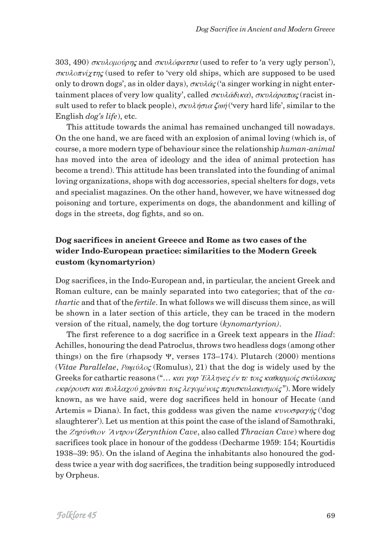303, 490)  $\sigma\kappa\nu\lambda$ ομούρης and  $\sigma\kappa\nu\lambda\delta\rho\alpha\tau\sigma\alpha$  (used to refer to 'a very ugly person'),  $\sigma\kappa\nu\lambda\partial\pi\nu\chi\tau\eta\zeta$  (used to refer to 'very old ships, which are supposed to be used only to drown dogs', as in older days),  $\sigma \kappa \nu \lambda \alpha \zeta$  ('a singer working in night entertainment places of very low quality', called  $\sigma \kappa \nu \lambda \hat{\alpha} \delta \kappa \alpha$ ),  $\sigma \kappa \nu \lambda \hat{\alpha} \rho \alpha \pi \alpha \varsigma$  (racist insult used to refer to black people),  $\sigma \kappa \nu \lambda \eta \sigma \iota \alpha \zeta \omega \eta'$  (very hard life', similar to the English *dog's life*), etc.

This attitude towards the animal has remained unchanged till nowadays. On the one hand, we are faced with an explosion of animal loving (which is, of course, a more modern type of behaviour since the relationship *human-animal* has moved into the area of ideology and the idea of animal protection has become a trend). This attitude has been translated into the founding of animal loving organizations, shops with dog accessories, special shelters for dogs, vets and specialist magazines. On the other hand, however, we have witnessed dog poisoning and torture, experiments on dogs, the abandonment and killing of dogs in the streets, dog fights, and so on.

# **Dog sacrifices in ancient Greece and Rome as two cases of the wider Indo-European practice: similarities to the Modern Greek custom (kynomartyrion)**

Dog sacrifices, in the Indo-European and, in particular, the ancient Greek and Roman culture, can be mainly separated into two categories; that of the *cathartic* and that of the *fertile*. In what follows we will discuss them since, as will be shown in a later section of this article, they can be traced in the modern version of the ritual, namely, the dog torture (*kynomartyrion)*.

The first reference to a dog sacrifice in a Greek text appears in the *Iliad*: Achilles, honouring the dead Patroclus, throws two headless dogs (among other things) on the fire (rhapsody  $\Psi$ , verses 173-174). Plutarch (2000) mentions (*Vitae Parallelae*,  $P\omega\mu\acute{\nu}\lambda o\varsigma$  (Romulus), 21) that the dog is widely used by the Greeks for cathartic reasons ("... και γαρ Έλληνες έν τε τοις καθαρμοίς σκύλακας  $\epsilon$ κφέρουσι και πολλαχού χρώνται τοις λεγομένοις περισκυλακισμοίς"). More widely known, as we have said, were dog sacrifices held in honour of Hecate (and Artemis = Diana). In fact, this goddess was given the name  $\kappa \nu \nu \sigma \sigma \alpha \gamma \gamma \zeta$  ('dog slaughterer'). Let us mention at this point the case of the island of Samothraki, the *Znov* $\theta$ uov *´Avtpov* (*Zerynthion Cave*, also called *Thracian Cave*) where dog sacrifices took place in honour of the goddess (Decharme 1959: 154; Kourtidis 1938–39: 95). On the island of Aegina the inhabitants also honoured the goddess twice a year with dog sacrifices, the tradition being supposedly introduced by Orpheus.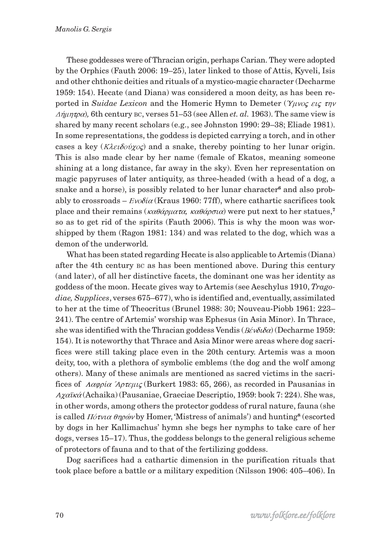These goddesses were of Thracian origin, perhaps Carian. They were adopted by the Orphics (Fauth 2006: 19–25), later linked to those of Attis, Kyveli, Isis and other chthonic deities and rituals of a mystico-magic character (Decharme 1959: 154). Hecate (and Diana) was considered a moon deity, as has been reported in *Suidae Lexicon* and the Homeric Hymn to Demeter ( $\gamma_{\mu\nu}$  eig  $\tau_{\eta\nu}$ )  $\Delta \eta \mu \eta \tau$  h, 6th century BC, verses 51–53 (see Allen *et. al.* 1963). The same view is shared by many recent scholars (e.g., see Johnston 1990: 29–38; Eliade 1981). In some representations, the goddess is depicted carrying a torch, and in other cases a key ( $K\lambda \varepsilon \delta \delta \omega$  and a snake, thereby pointing to her lunar origin. This is also made clear by her name (female of Ekatos, meaning someone shining at a long distance, far away in the sky). Even her representation on magic papyruses of later antiquity, as three-headed (with a head of a dog, a snake and a horse), is possibly related to her lunar character**6** and also probably to crossroads –  $Evo\delta i\alpha$  (Kraus 1960: 77ff), where cathartic sacrifices took place and their remains ( $\kappa \alpha \theta \dot{\alpha} \rho \mu \alpha \tau \alpha$ ,  $\kappa \alpha \theta \dot{\alpha} \rho \sigma \iota \alpha$ ) were put next to her statues,<sup>7</sup> so as to get rid of the spirits (Fauth 2006). This is why the moon was worshipped by them (Ragon 1981: 134) and was related to the dog, which was a demon of the underworld*.*

What has been stated regarding Hecate is also applicable to Artemis (Diana) after the 4th century BC as has been mentioned above. During this century (and later), of all her distinctive facets, the dominant one was her identity as goddess of the moon. Hecate gives way to Artemis (see Aeschylus 1910, *Tragodiae, Supplices*, verses 675–677), who is identified and, eventually, assimilated to her at the time of Theocritus (Brunel 1988: 30; Nouveau-Piobb 1961: 223– 241). The centre of Artemis' worship was Ephesus (in Asia Minor). In Thrace, she was identified with the Thracian goddess Vendis ( $B\acute{\epsilon}\nu\delta\iota\delta\alpha$ ) (Decharme 1959: 154). It is noteworthy that Thrace and Asia Minor were areas where dog sacrifices were still taking place even in the 20th century. Artemis was a moon deity, too, with a plethora of symbolic emblems (the dog and the wolf among others). Many of these animals are mentioned as sacred victims in the sacrifices of  $\Lambda \alpha \varphi \rho \alpha \varphi \alpha$  *(Burkert 1983: 65, 266)*, as recorded in Pausanias in Axaïka (Achaika) (Pausaniae, Graeciae Descriptio, 1959: book 7: 224). She was, in other words, among others the protector goddess of rural nature, fauna (she is called *Πότνια θηρών* by Homer, 'Mistress of animals') and hunting<sup>8</sup> (escorted by dogs in her Kallimachus' hymn she begs her nymphs to take care of her dogs, verses 15–17). Thus, the goddess belongs to the general religious scheme of protectors of fauna and to that of the fertilizing goddess.

Dog sacrifices had a cathartic dimension in the purification rituals that took place before a battle or a military expedition (Nilsson 1906: 405–406). In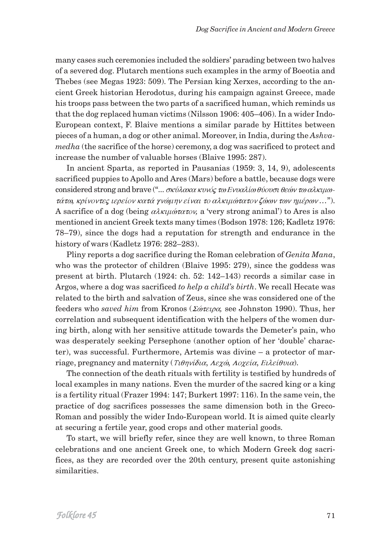many cases such ceremonies included the soldiers' parading between two halves of a severed dog. Plutarch mentions such examples in the army of Boeotia and Thebes (see Megas 1923: 509). The Persian king Xerxes, according to the ancient Greek historian Herodotus, during his campaign against Greece, made his troops pass between the two parts of a sacrificed human, which reminds us that the dog replaced human victims (Nilsson 1906: 405–406). In a wider Indo-European context, F. Blaive mentions a similar parade by Hittites between pieces of a human, a dog or other animal. Moreover, in India, during the *Ashvamedha* (the sacrifice of the horse) ceremony, a dog was sacrificed to protect and increase the number of valuable horses (Blaive 1995: 287).

In ancient Sparta, as reported in Pausanias (1959: 3, 14, 9), adolescents sacrificed puppies to Apollo and Ares (Mars) before a battle, because dogs were considered strong and brave  $($ "...  $\sigma \kappa \acute{\nu} \lambda \alpha \kappa \alpha \kappa \nu \nu \acute{\nu} \zeta \tau \omega E \nu \nu \alpha \lambda \acute{\nu} \omega \partial \nu \sigma \omega \partial \epsilon \omega \alpha \lambda \kappa \mu \omega$ τάτω, κρίνοντες ιερείον κατά γνώμην είναι το αλκιμώτατον ζώων των ημέρων ..."). A sacrifice of a dog (being  $\alpha \lambda \kappa \mu \omega \alpha \kappa \nu$ , a 'very strong animal') to Ares is also mentioned in ancient Greek texts many times (Bodson 1978: 126; Kadletz 1976: 78–79), since the dogs had a reputation for strength and endurance in the history of wars (Kadletz 1976: 282–283).

Pliny reports a dog sacrifice during the Roman celebration of *Genita Mana*, who was the protector of children (Blaive 1995: 279), since the goddess was present at birth. Plutarch (1924: ch. 52: 142–143) records a similar case in Argos, where a dog was sacrificed *to help a child's birth*. We recall Hecate was related to the birth and salvation of Zeus, since she was considered one of the feeders who *saved him* from Kronos (Σώτειρα, see Johnston 1990). Thus, her correlation and subsequent identification with the helpers of the women during birth, along with her sensitive attitude towards the Demeter's pain, who was desperately seeking Persephone (another option of her 'double' character), was successful. Furthermore, Artemis was divine – a protector of marriage, pregnancy and maternity ( $T_l \theta \eta \nu \hat{i} \delta u \alpha$ ,  $A \epsilon \chi \hat{\omega}$ ,  $A \epsilon \chi \epsilon \hat{i} \theta \nu \alpha$ ).

The connection of the death rituals with fertility is testified by hundreds of local examples in many nations. Even the murder of the sacred king or a king is a fertility ritual (Frazer 1994: 147; Burkert 1997: 116). In the same vein, the practice of dog sacrifices possesses the same dimension both in the Greco-Roman and possibly the wider Indo-European world. It is aimed quite clearly at securing a fertile year, good crops and other material goods.

To start, we will briefly refer, since they are well known, to three Roman celebrations and one ancient Greek one, to which Modern Greek dog sacrifices, as they are recorded over the 20th century, present quite astonishing similarities.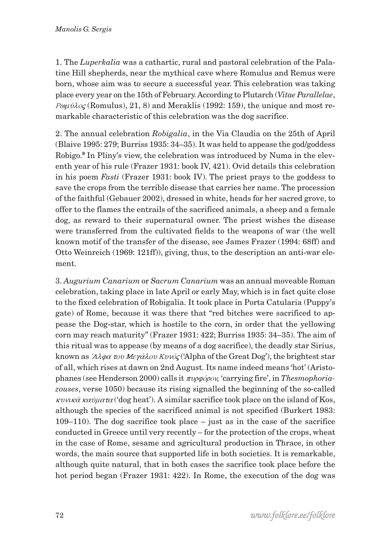1. The *Luperkalia* was a cathartic, rural and pastoral celebration of the Palatine Hill shepherds, near the mythical cave where Romulus and Remus were born, whose aim was to secure a successful year. This celebration was taking place every year on the 15th of February. According to Plutarch (*Vitae Parallelae*,  $P\omega\mu\hat{\nu}\lambda o\varsigma$  (Romulus), 21, 8) and Meraklis (1992: 159), the unique and most remarkable characteristic of this celebration was the dog sacrifice.

2. The annual celebration *Robigalia*, in the Via Claudia on the 25th of April (Blaive 1995: 279; Burriss 1935: 34–35). It was held to appease the god/goddess Robigo.**<sup>9</sup>** In Pliny's view, the celebration was introduced by Numa in the eleventh year of his rule (Frazer 1931: book IV, 421). Ovid details this celebration in his poem *Fasti* (Frazer 1931: book IV). The priest prays to the goddess to save the crops from the terrible disease that carries her name. The procession of the faithful (Gebauer 2002), dressed in white, heads for her sacred grove, to offer to the flames the entrails of the sacrificed animals, a sheep and a female dog, as reward to their supernatural owner. The priest wishes the disease were transferred from the cultivated fields to the weapons of war (the well known motif of the transfer of the disease, see James Frazer (1994: 68ff) and Otto Weinreich (1969: 121ff)), giving, thus, to the description an anti-war element.

3. *Augurium Canarium* or *Sacrum Canarium* was an annual moveable Roman celebration, taking place in late April or early May, which is in fact quite close to the fixed celebration of Robigalia. It took place in Porta Catularia (Puppy's gate) of Rome, because it was there that "red bitches were sacrificed to appease the Dog-star, which is hostile to the corn, in order that the yellowing corn may reach maturity" (Frazer 1931: 422; Burriss 1935: 34–35). The aim of this ritual was to appease (by means of a dog sacrifice), the deadly star Sirius, known as  $\lambda \lambda \varphi \alpha$  *tov Mey*  $\alpha \lambda \varphi \alpha'$  *('Alpha of the Great Dog')*, the brightest star of all, which rises at dawn on 2nd August. Its name indeed means 'hot' (Aristophanes (see Henderson 2000) calls it πυρφόρου, 'carrying fire', in *Thesmophoriazouses*, verse 1050) because its rising signalled the beginning of the so-called  $\kappa \nu \nu \kappa \alpha \nu \mu \alpha \tau \alpha$  ('dog heat'). A similar sacrifice took place on the island of Kos, although the species of the sacrificed animal is not specified (Burkert 1983:  $109-110$ ). The dog sacrifice took place – just as in the case of the sacrifice conducted in Greece until very recently – for the protection of the crops, wheat in the case of Rome, sesame and agricultural production in Thrace, in other words, the main source that supported life in both societies. It is remarkable, although quite natural, that in both cases the sacrifice took place before the hot period began (Frazer 1931: 422). In Rome, the execution of the dog was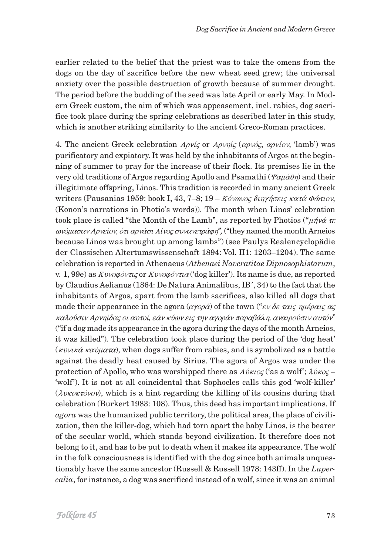earlier related to the belief that the priest was to take the omens from the dogs on the day of sacrifice before the new wheat seed grew; the universal anxiety over the possible destruction of growth because of summer drought. The period before the budding of the seed was late April or early May. In Modern Greek custom, the aim of which was appeasement, incl. rabies, dog sacrifice took place during the spring celebrations as described later in this study, which is another striking similarity to the ancient Greco-Roman practices.

4. The ancient Greek celebration  $A \rho \nu \hat{i} \zeta$  or  $A \rho \nu \eta \hat{i} \zeta$  ( $\alpha \rho \nu \hat{\delta} \zeta$ ,  $\alpha \rho \nu \hat{i} \sigma \nu$ , 'lamb') was purificatory and expiatory. It was held by the inhabitants of Argos at the beginning of summer to pray for the increase of their flock. Its premises lie in the very old traditions of Argos regarding Apollo and Psamathi ( $\varphi_{\alpha\mu\alpha\beta\eta}$ ) and their illegitimate offspring, Linos. This tradition is recorded in many ancient Greek writers (Pausanias 1959: book I, 43, 7–8; 19 – Κόνωνος διηγήσεις κατά Φώτιον, (Konon's narrations in Photio's words)). The month when Linos' celebration took place is called "the Month of the Lamb", as reported by Photios (" $\mu \dot{\eta} \nu \dot{\alpha} \tau \dot{\epsilon}$ "  $\omega$ νόμασαν Αρνείον, ότι αρνάσι Λίνος συνανετράφη", ("they named the month Arneios because Linos was brought up among lambs") (see Paulys Realencyclopädie der Classischen Altertumswissenschaft 1894: Vol. II1: 1203–1204). The same celebration is reported in Athenaeus (Athenaei Navcratitae Dipnosophistarum, v. 1, 99e) as  $Kv\nu\varphi\varphi\varphi\tau\iota\zeta$  or  $Kv\nu\varphi\varphi\varphi\tau\iota\alpha$  ('dog killer'). Its name is due, as reported by Claudius Aelianus (1864: De Natura Animalibus, IB´, 34) to the fact that the inhabitants of Argos, apart from the lamb sacrifices, also killed all dogs that made their appearance in the agora  $(\alpha \gamma \circ \rho \alpha)$  of the town  $("εν δε ταις ημέραις ας$ καλούσιν Αρνηίδας οι αυτοί, εάν κύων εις την αγοράν παραβάλη, αναιρούσιν αυτόν" ("if a dog made its appearance in the agora during the days of the month Arneios, it was killed"). The celebration took place during the period of the 'dog heat' ( $\kappa v v \kappa \alpha \alpha \alpha u \alpha \alpha x$ ), when dogs suffer from rabies, and is symbolized as a battle against the deadly heat caused by Sirius. The agora of Argos was under the protection of Apollo, who was worshipped there as  $\Lambda \dot{\nu} \kappa \nu \sigma \zeta$  ('as a wolf';  $\lambda \dot{\nu} \kappa \nu \zeta$  – 'wolf'). It is not at all coincidental that Sophocles calls this god 'wolf-killer'  $(\lambda v \kappa \alpha \kappa \tau \phi v \circ \phi)$ , which is a hint regarding the killing of its cousins during that celebration (Burkert 1983: 108). Thus, this deed has important implications. If *agora* was the humanized public territory, the political area, the place of civilization, then the killer-dog, which had torn apart the baby Linos, is the bearer of the secular world, which stands beyond civilization. It therefore does not belong to it, and has to be put to death when it makes its appearance. The wolf in the folk consciousness is identified with the dog since both animals unquestionably have the same ancestor (Russell & Russell 1978: 143ff). In the Luper*calia*, for instance, a dog was sacrificed instead of a wolf, since it was an animal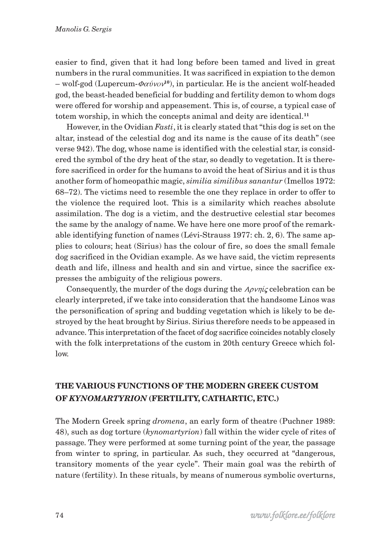easier to find, given that it had long before been tamed and lived in great numbers in the rural communities. It was sacrificed in expiation to the demon  $-$  wolf-god (Lupercum- $\Phi \alpha \acute{v}$ *vov*<sup>10</sup>), in particular. He is the ancient wolf-headed god, the beast-headed beneficial for budding and fertility demon to whom dogs were offered for worship and appeasement. This is, of course, a typical case of totem worship, in which the concepts animal and deity are identical.**<sup>11</sup>**

However, in the Ovidian *Fasti*, it is clearly stated that "this dog is set on the altar, instead of the celestial dog and its name is the cause of its death" (see verse 942). The dog, whose name is identified with the celestial star, is considered the symbol of the dry heat of the star, so deadly to vegetation. It is therefore sacrificed in order for the humans to avoid the heat of Sirius and it is thus another form of homeopathic magic, *similia similibus sanantur* (Imellos 1972: 68–72). The victims need to resemble the one they replace in order to offer to the violence the required loot. This is a similarity which reaches absolute assimilation. The dog is a victim, and the destructive celestial star becomes the same by the analogy of name. We have here one more proof of the remarkable identifying function of names (Lévi-Strauss 1977: ch. 2, 6). The same applies to colours; heat (Sirius) has the colour of fire, so does the small female dog sacrificed in the Ovidian example. As we have said, the victim represents death and life, illness and health and sin and virtue, since the sacrifice expresses the ambiguity of the religious powers.

Consequently, the murder of the dogs during the  $A\rho \nu \eta i \zeta$  celebration can be clearly interpreted, if we take into consideration that the handsome Linos was the personification of spring and budding vegetation which is likely to be destroyed by the heat brought by Sirius. Sirius therefore needs to be appeased in advance. This interpretation of the facet of dog sacrifice coincides notably closely with the folk interpretations of the custom in 20th century Greece which follow.

# **THE VARIOUS FUNCTIONS OF THE MODERN GREEK CUSTOM OF** *KYNOMARTYRION* **(FERTILITY, CATHARTIC, ETC.)**

The Modern Greek spring *dromena*, an early form of theatre (Puchner 1989: 48), such as dog torture (*kynomartyrion*) fall within the wider cycle of rites of passage. They were performed at some turning point of the year, the passage from winter to spring, in particular. As such, they occurred at "dangerous, transitory moments of the year cycle". Their main goal was the rebirth of nature (fertility). In these rituals, by means of numerous symbolic overturns,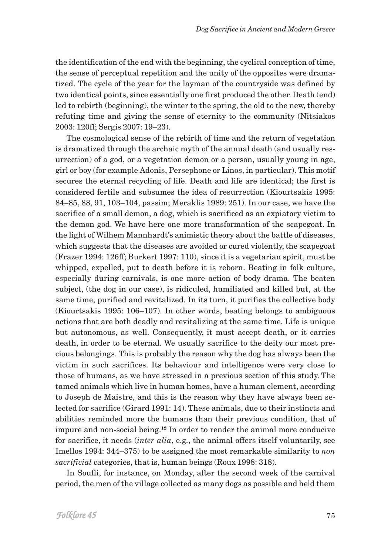the identification of the end with the beginning, the cyclical conception of time, the sense of perceptual repetition and the unity of the opposites were dramatized. The cycle of the year for the layman of the countryside was defined by two identical points, since essentially one first produced the other. Death (end) led to rebirth (beginning), the winter to the spring, the old to the new, thereby refuting time and giving the sense of eternity to the community (Nitsiakos 2003: 120ff; Sergis 2007: 19–23).

The cosmological sense of the rebirth of time and the return of vegetation is dramatized through the archaic myth of the annual death (and usually resurrection) of a god, or a vegetation demon or a person, usually young in age, girl or boy (for example Adonis, Persephone or Linos, in particular). This motif secures the eternal recycling of life. Death and life are identical; the first is considered fertile and subsumes the idea of resurrection (Kiourtsakis 1995: 84–85, 88, 91, 103–104, passim; Meraklis 1989: 251). In our case, we have the sacrifice of a small demon, a dog, which is sacrificed as an expiatory victim to the demon god. We have here one more transformation of the scapegoat. In the light of Wilhem Mannhardt's animistic theory about the battle of diseases, which suggests that the diseases are avoided or cured violently, the scapegoat (Frazer 1994: 126ff; Burkert 1997: 110), since it is a vegetarian spirit, must be whipped, expelled, put to death before it is reborn. Beating in folk culture, especially during carnivals, is one more action of body drama. The beaten subject, (the dog in our case), is ridiculed, humiliated and killed but, at the same time, purified and revitalized. In its turn, it purifies the collective body (Kiourtsakis 1995: 106–107). In other words, beating belongs to ambiguous actions that are both deadly and revitalizing at the same time. Life is unique but autonomous, as well. Consequently, it must accept death, or it carries death, in order to be eternal. We usually sacrifice to the deity our most precious belongings. This is probably the reason why the dog has always been the victim in such sacrifices. Its behaviour and intelligence were very close to those of humans, as we have stressed in a previous section of this study. The tamed animals which live in human homes, have a human element, according to Joseph de Maistre, and this is the reason why they have always been selected for sacrifice (Girard 1991: 14). These animals, due to their instincts and abilities reminded more the humans than their previous condition, that of impure and non-social being.**12** In order to render the animal more conducive for sacrifice, it needs (*inter alia*, e.g., the animal offers itself voluntarily, see Imellos 1994: 344–375) to be assigned the most remarkable similarity to *non sacrificial* categories, that is, human beings (Roux 1998: 318).

In Soufli, for instance, on Monday, after the second week of the carnival period, the men of the village collected as many dogs as possible and held them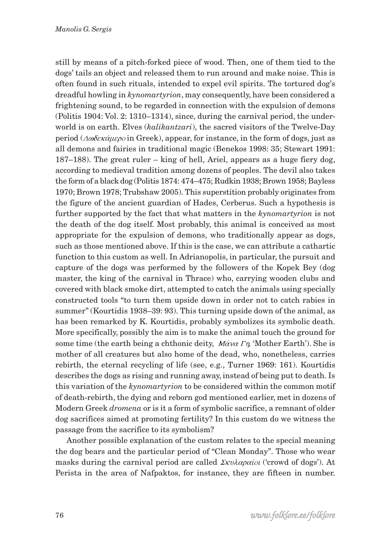still by means of a pitch-forked piece of wood. Then, one of them tied to the dogs' tails an object and released them to run around and make noise. This is often found in such rituals, intended to expel evil spirits. The tortured dog's dreadful howling in *kynomartyrion*, may consequently, have been considered a frightening sound, to be regarded in connection with the expulsion of demons (Politis 1904: Vol. 2: 1310–1314), since, during the carnival period, the underworld is on earth. Elves (*kalikantzari*), the sacred visitors of the Twelve-Day period ( $\Delta \omega \delta \epsilon \kappa \alpha \mu \epsilon \rho o$  in Greek), appear, for instance, in the form of dogs, just as all demons and fairies in traditional magic (Benekos 1998: 35; Stewart 1991: 187–188). The great ruler – king of hell, Ariel, appears as a huge fiery dog, according to medieval tradition among dozens of peoples. The devil also takes the form of a black dog (Politis 1874: 474–475; Rudkin 1938; Brown 1958; Bayless 1970; Brown 1978; Trubshaw 2005). This superstition probably originates from the figure of the ancient guardian of Hades, Cerberus. Such a hypothesis is further supported by the fact that what matters in the *kynomartyrion* is not the death of the dog itself. Most probably, this animal is conceived as most appropriate for the expulsion of demons, who traditionally appear as dogs, such as those mentioned above. If this is the case, we can attribute a cathartic function to this custom as well. In Adrianopolis, in particular, the pursuit and capture of the dogs was performed by the followers of the Kopek Bey (dog master, the king of the carnival in Thrace) who, carrying wooden clubs and covered with black smoke dirt, attempted to catch the animals using specially constructed tools "to turn them upside down in order not to catch rabies in summer" (Kourtidis 1938–39: 93). This turning upside down of the animal, as has been remarked by K. Kourtidis, probably symbolizes its symbolic death. More specifically, possibly the aim is to make the animal touch the ground for some time (the earth being a chthonic deity,  $M\acute{\alpha}v\alpha T\eta$ , 'Mother Earth'). She is mother of all creatures but also home of the dead, who, nonetheless, carries rebirth, the eternal recycling of life (see, e.g., Turner 1969: 161). Kourtidis describes the dogs as rising and running away, instead of being put to death. Is this variation of the *kynomartyrion* to be considered within the common motif of death-rebirth, the dying and reborn god mentioned earlier, met in dozens of Modern Greek *dromena* or is it a form of symbolic sacrifice, a remnant of older dog sacrifices aimed at promoting fertility? In this custom do we witness the passage from the sacrifice to its symbolism?

Another possible explanation of the custom relates to the special meaning the dog bears and the particular period of "Clean Monday". Those who wear masks during the carnival period are called  $\Sigma \kappa \nu \lambda \alpha \rho \alpha \delta \nu$  ('crowd of dogs'). At Perista in the area of Nafpaktos, for instance, they are fifteen in number.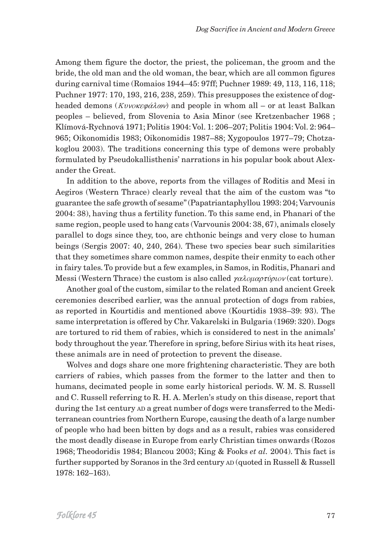Among them figure the doctor, the priest, the policeman, the groom and the bride, the old man and the old woman, the bear, which are all common figures during carnival time (Romaios 1944–45: 97ff; Puchner 1989: 49, 113, 116, 118; Puchner 1977: 170, 193, 216, 238, 259). This presupposes the existence of dogheaded demons ( $Kv\nu\nu\alpha\epsilon\varphi\alpha\lambda\omega\nu$ ) and people in whom all – or at least Balkan peoples – believed, from Slovenia to Asia Minor (see Kretzenbacher 1968 ; Klímová-Rychnová 1971; Politis 1904: Vol. 1: 206–207; Politis 1904: Vol. 2: 964– 965; Oikonomidis 1983; Oikonomidis 1987–88; Xygopoulos 1977–79; Chotzakoglou 2003). The traditions concerning this type of demons were probably formulated by Pseudokallisthenis' narrations in his popular book about Alexander the Great.

In addition to the above, reports from the villages of Roditis and Mesi in Aegiros (Western Thrace) clearly reveal that the aim of the custom was "to guarantee the safe growth of sesame" (Papatriantaphyllou 1993: 204; Varvounis 2004: 38), having thus a fertility function. To this same end, in Phanari of the same region, people used to hang cats (Varvounis 2004: 38, 67), animals closely parallel to dogs since they, too, are chthonic beings and very close to human beings (Sergis 2007: 40, 240, 264). These two species bear such similarities that they sometimes share common names, despite their enmity to each other in fairy tales. To provide but a few examples, in Samos, in Roditis, Phanari and Messi (Western Thrace) the custom is also called  $\gamma \alpha \lambda \omega \mu \alpha \rho \tau \nu \rho \nu \nu$  (cat torture).

Another goal of the custom, similar to the related Roman and ancient Greek ceremonies described earlier, was the annual protection of dogs from rabies, as reported in Kourtidis and mentioned above (Kourtidis 1938–39: 93). The same interpretation is offered by Chr. Vakarelski in Bulgaria (1969: 320). Dogs are tortured to rid them of rabies, which is considered to nest in the animals' body throughout the year. Therefore in spring, before Sirius with its heat rises, these animals are in need of protection to prevent the disease.

Wolves and dogs share one more frightening characteristic. They are both carriers of rabies, which passes from the former to the latter and then to humans, decimated people in some early historical periods. W. M. S. Russell and C. Russell referring to R. H. A. Merlen's study on this disease, report that during the 1st century AD a great number of dogs were transferred to the Mediterranean countries from Northern Europe, causing the death of a large number of people who had been bitten by dogs and as a result, rabies was considered the most deadly disease in Europe from early Christian times onwards (Rozos 1968; Theodoridis 1984; Blancou 2003; King & Fooks *et al.* 2004). This fact is further supported by Soranos in the 3rd century AD (quoted in Russell & Russell 1978: 162–163).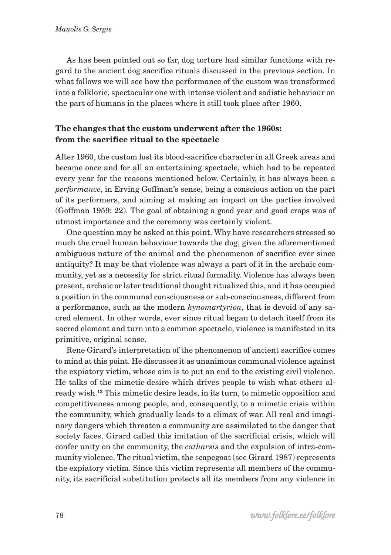As has been pointed out so far, dog torture had similar functions with regard to the ancient dog sacrifice rituals discussed in the previous section. In what follows we will see how the performance of the custom was transformed into a folkloric, spectacular one with intense violent and sadistic behaviour on the part of humans in the places where it still took place after 1960.

### **The changes that the custom underwent after the 1960s: from the sacrifice ritual to the spectacle**

After 1960, the custom lost its blood-sacrifice character in all Greek areas and became once and for all an entertaining spectacle, which had to be repeated every year for the reasons mentioned below. Certainly, it has always been a *performance*, in Erving Goffman's sense, being a conscious action on the part of its performers, and aiming at making an impact on the parties involved (Goffman 1959: 22). The goal of obtaining a good year and good crops was of utmost importance and the ceremony was certainly violent.

One question may be asked at this point. Why have researchers stressed so much the cruel human behaviour towards the dog, given the aforementioned ambiguous nature of the animal and the phenomenon of sacrifice ever since antiquity? It may be that violence was always a part of it in the archaic community, yet as a necessity for strict ritual formality. Violence has always been present, archaic or later traditional thought ritualized this, and it has occupied a position in the communal consciousness or sub-consciousness, different from a performance, such as the modern *kynomartyrion*, that is devoid of any sacred element. In other words, ever since ritual began to detach itself from its sacred element and turn into a common spectacle, violence is manifested in its primitive, original sense.

Rene Girard's interpretation of the phenomenon of ancient sacrifice comes to mind at this point. He discusses it as unanimous communal violence against the expiatory victim, whose aim is to put an end to the existing civil violence. He talks of the mimetic-desire which drives people to wish what others already wish.**13** This mimetic desire leads, in its turn, to mimetic opposition and competitiveness among people, and, consequently, to a mimetic crisis within the community, which gradually leads to a climax of war. All real and imaginary dangers which threaten a community are assimilated to the danger that society faces. Girard called this imitation of the sacrificial crisis, which will confer unity on the community, the *catharsis* and the expulsion of intra-community violence. The ritual victim, the scapegoat (see Girard 1987) represents the expiatory victim. Since this victim represents all members of the community, its sacrificial substitution protects all its members from any violence in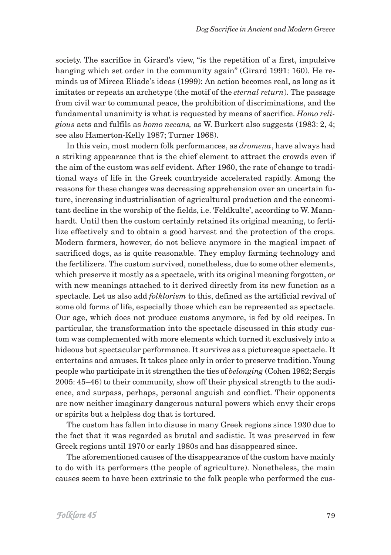society. The sacrifice in Girard's view, "is the repetition of a first, impulsive hanging which set order in the community again" (Girard 1991: 160). He reminds us of Mircea Eliade's ideas (1999): An action becomes real, as long as it imitates or repeats an archetype (the motif of the *eternal return*). The passage from civil war to communal peace, the prohibition of discriminations, and the fundamental unanimity is what is requested by means of sacrifice. *Homo religious* acts and fulfils as *homo necans,* as W. Burkert also suggests (1983: 2, 4; see also Hamerton-Kelly 1987; Turner 1968).

In this vein, most modern folk performances, as *dromena*, have always had a striking appearance that is the chief element to attract the crowds even if the aim of the custom was self evident. After 1960, the rate of change to traditional ways of life in the Greek countryside accelerated rapidly. Among the reasons for these changes was decreasing apprehension over an uncertain future, increasing industrialisation of agricultural production and the concomitant decline in the worship of the fields, i.e. 'Feldkulte', according to W. Mannhardt. Until then the custom certainly retained its original meaning, to fertilize effectively and to obtain a good harvest and the protection of the crops. Modern farmers, however, do not believe anymore in the magical impact of sacrificed dogs, as is quite reasonable. They employ farming technology and the fertilizers. The custom survived, nonetheless, due to some other elements, which preserve it mostly as a spectacle, with its original meaning forgotten, or with new meanings attached to it derived directly from its new function as a spectacle. Let us also add *folklorism* to this, defined as the artificial revival of some old forms of life, especially those which can be represented as spectacle. Our age, which does not produce customs anymore, is fed by old recipes. In particular, the transformation into the spectacle discussed in this study custom was complemented with more elements which turned it exclusively into a hideous but spectacular performance. It survives as a picturesque spectacle. It entertains and amuses. It takes place only in order to preserve tradition. Young people who participate in it strengthen the ties of *belonging* **(**Cohen 1982; Sergis 2005: 45–46) to their community, show off their physical strength to the audience, and surpass, perhaps, personal anguish and conflict. Their opponents are now neither imaginary dangerous natural powers which envy their crops or spirits but a helpless dog that is tortured.

The custom has fallen into disuse in many Greek regions since 1930 due to the fact that it was regarded as brutal and sadistic. It was preserved in few Greek regions until 1970 or early 1980s and has disappeared since.

The aforementioned causes of the disappearance of the custom have mainly to do with its performers (the people of agriculture). Nonetheless, the main causes seem to have been extrinsic to the folk people who performed the cus-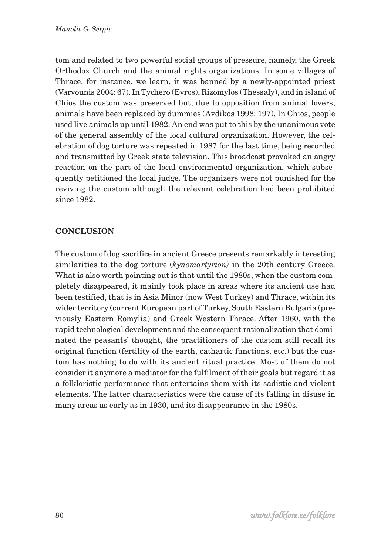tom and related to two powerful social groups of pressure, namely, the Greek Orthodox Church and the animal rights organizations. In some villages of Thrace, for instance, we learn, it was banned by a newly-appointed priest (Varvounis 2004: 67). In Tychero (Evros), Rizomylos (Thessaly), and in island of Chios the custom was preserved but, due to opposition from animal lovers, animals have been replaced by dummies (Avdikos 1998: 197). In Chios, people used live animals up until 1982. An end was put to this by the unanimous vote of the general assembly of the local cultural organization. However, the celebration of dog torture was repeated in 1987 for the last time, being recorded and transmitted by Greek state television. This broadcast provoked an angry reaction on the part of the local environmental organization, which subsequently petitioned the local judge. The organizers were not punished for the reviving the custom although the relevant celebration had been prohibited since 1982.

### **CONCLUSION**

The custom of dog sacrifice in ancient Greece presents remarkably interesting similarities to the dog torture (*kynomartyrion)* in the 20th century Greece. What is also worth pointing out is that until the 1980s, when the custom completely disappeared, it mainly took place in areas where its ancient use had been testified, that is in Asia Minor (now West Turkey) and Thrace, within its wider territory (current European part of Turkey, South Eastern Bulgaria (previously Eastern Romylia) and Greek Western Thrace. After 1960, with the rapid technological development and the consequent rationalization that dominated the peasants' thought, the practitioners of the custom still recall its original function (fertility of the earth, cathartic functions, etc.) but the custom has nothing to do with its ancient ritual practice. Most of them do not consider it anymore a mediator for the fulfilment of their goals but regard it as a folkloristic performance that entertains them with its sadistic and violent elements. The latter characteristics were the cause of its falling in disuse in many areas as early as in 1930, and its disappearance in the 1980s.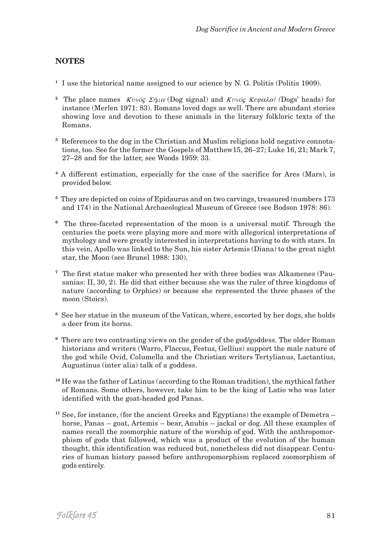### **NOTES**

- **<sup>1</sup>** I use the historical name assigned to our science by N. G. Politis (Politis 1909).
- <sup>2</sup> The place names  $Kvv\acute{o} \varsigma$   $\Sigma \acute{\eta} \mu \alpha$  (Dog signal) and  $Kvv\acute{o} \varsigma$  *Kegalai* (Dogs' heads) for instance (Merlen 1971: 83). Romans loved dogs as well. There are abundant stories showing love and devotion to these animals in the literary folkloric texts of the Romans.
- **3** References to the dog in the Christian and Muslim religions hold negative connotations, too. See for the former the Gospels of Matthew15, 26–27; Luke 16, 21; Mark 7, 27–28 and for the latter, see Woods 1959: 33.
- **<sup>4</sup>** A different estimation, especially for the case of the sacrifice for Ares (Mars), is provided below.
- **<sup>5</sup>** They are depicted on coins of Epidaurus and on two carvings, treasured (numbers 173 and 174) in the National Archaeological Museum of Greece (see Bodson 1978: 86).
- **<sup>6</sup>** The three-faceted representation of the moon is a universal motif. Through the centuries the poets were playing more and more with allegorical interpretations of mythology and were greatly interested in interpretations having to do with stars. In this vein, Apollo was linked to the Sun, his sister Artemis (Diana) to the great night star, the Moon (see Brunel 1988: 130).
- **7** The first statue maker who presented her with three bodies was Alkamenes (Pausanias: II, 30, 2). He did that either because she was the ruler of three kingdoms of nature (according to Orphics) or because she represented the three phases of the moon (Stoics).
- **<sup>8</sup>** See her statue in the museum of the Vatican, where, escorted by her dogs, she holds a deer from its horns.
- **<sup>9</sup>** There are two contrasting views on the gender of the god/goddess. The older Roman historians and writers (Warro, Flaccus, Festus, Gellius) support the male nature of the god while Ovid, Columella and the Christian writers Tertylianus, Lactantius, Augustinus (inter alia) talk of a goddess.
- **<sup>10</sup>** He was the father of Latinus (according to the Roman tradition), the mythical father of Romans. Some others, however, take him to be the king of Latio who was later identified with the goat-headed god Panas.
- **<sup>11</sup>** See, for instance, (for the ancient Greeks and Egyptians) the example of Demetra horse, Panas – goat, Artemis – bear, Anubis – jackal or dog. All these examples of names recall the zoomorphic nature of the worship of god. With the anthropomorphism of gods that followed, which was a product of the evolution of the human thought, this identification was reduced but, nonetheless did not disappear. Centuries of human history passed before anthropomorphism replaced zoomorphism of gods entirely.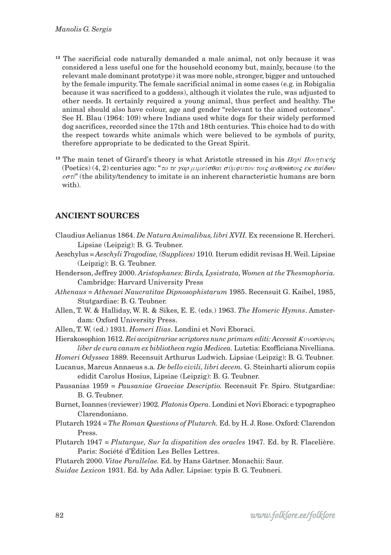- <sup>12</sup> The sacrificial code naturally demanded a male animal, not only because it was considered a less useful one for the household economy but, mainly, because (to the relevant male dominant prototype) it was more noble, stronger, bigger and untouched by the female impurity. The female sacrificial animal in some cases (e.g. in Robigalia because it was sacrificed to a goddess), although it violates the rule, was adjusted to other needs. It certainly required a young animal, thus perfect and healthy. The animal should also have colour, age and gender "relevant to the aimed outcomes". See H. Blau (1964: 109) where Indians used white dogs for their widely performed dog sacrifices, recorded since the 17th and 18th centuries. This choice had to do with the respect towards white animals which were believed to be symbols of purity, therefore appropriate to be dedicated to the Great Spirit.
- <sup>13</sup> The main tenet of Girard's theory is what Aristotle stressed in his  $\text{IIe}$   $\text{IIe}$   $\text{IIe}$ (Poetics) (4, 2) centuries ago: "το τε γαρ μιμείσθαι σύμφυτον τοις ανθρώποις εκ παίδων  $\epsilon \sigma \tau \tau$ " (the ability/tendency to imitate is an inherent characteristic humans are born with).

### **ANCIENT SOURCES**

- Claudius Aelianus 1864. *De Natura Animalibus, libri XVII.* Ex recensione R. Hercheri. Lipsiae (Leipzig): B. G. Teubner.
- Aeschylus *= Aeschyli Tragodiae, (Supplices)* 1910*.* Iterum edidit revisas H. Weil. Lipsiae (Leipzig): B. G. Teubner.
- Henderson, Jeffrey 2000. *Aristophanes: Birds, Lysistrata, Women at the Thesmophoria.* Cambridge: Harvard University Press
- *Athenaus = Athenaei Naucratitae Dipnosophistarum* 1985. Recensuit G. Kaibel, 1985, Stutgardiae: B. G. Teubner.
- Allen, T. W. & Halliday, W. R. & Sikes, E. E. (eds.) 1963. *The Homeric Hymns*. Amsterdam: Oxford University Press.
- Allen, T. W. (ed.) 1931. *Homeri Ilias*. Londini et Novi Eboraci.
- Hierakosophion 1612. Rei accipitrariae scriptores nunc primum editi: Accessit  $Kv$ νοσόφιον, *liber de cura canum ex bibliotheca regia Medicea.* Lutetia: Exofficiana Nivelliana.
- *Homeri Odyssea* 1889*.* Recensuit Arthurus Ludwich. Lipsiae (Leipzig): B. G. Teubner.
- Lucanus, Marcus Annaeus s.a*. De bello civili, libri decem.* G. Steinharti aliorum copiis edidit Carolus Hosius, Lipsiae (Leipzig): B. G. Teubner.
- Pausanias 1959 = *Pausaniae Graeciae Descriptio.* Recensuit Fr. Spiro. Stutgardiae: B. G. Teubner.
- Burnet, Ioannes (reviewer) 1902*. Platonis Opera*. Londini et Novi Eboraci: e typographeo Clarendoniano.
- Plutarch 1924 = *The Roman Questions of Plutarch.* Ed. by H. J. Rose. Oxford: Clarendon Press.
- Plutarch 1947 = *Plutarque, Sur la dispatition des oracles* 1947*.* Ed. by R. Flacelière. Paris: Société d'Édition Les Belles Lettres.
- Plutarch 2000*. Vitae Parallelae.* Ed. by Hans Gärtner. Monachii: Saur.
- *Suidae Lexicon* 1931. Ed. by Ada Adler. Lipsiae: typis B. G. Teubneri.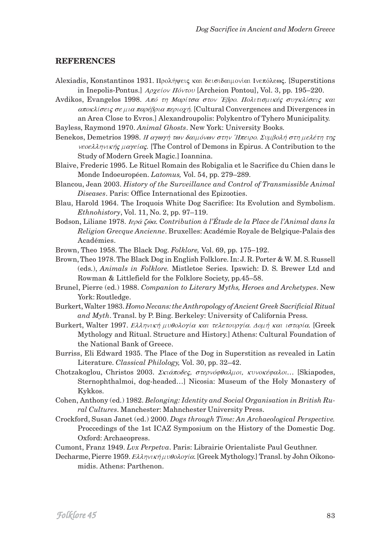#### **REFERENCES**

- Alexiadis, Konstantinos 1931. Προλήψεις και δεισιδαιμονίαι Ινεπόλεως. [Superstitions in Inepolis-Pontus.]  $A\phi\chi e i\omega\Pi\phi\nu\tau\omega\Psi$  [Archeion Pontou], Vol. 3, pp. 195–220.
- Avdikos, Evangelos 1998. Από τη Μαρίτσα στον Έβρο. Πολιτισμικές συγκλίσεις και αποκλίσεις σε μια παρέβρια περιοχή. [Cultural Convergences and Divergences in an Area Close to Evros.] Alexandroupolis: Polykentro of Tyhero Municipality.
- Bayless, Raymond 1970. Animal Ghosts. New York: University Books.
- Benekos, Demetrios 1998. Η αγωγή των δαιμόνων στην Ήπειρο. Συμβολή στη μελέτη της veoe $\lambda\lambda\eta\nu\kappa\eta\varsigma$   $\mu\alpha\gamma\epsilon i\alpha\varsigma$ . [The Control of Demons in Epirus. A Contribution to the Study of Modern Greek Magic.] Ioannina.
- Blaive, Frederic 1995. Le Rituel Romain des Robigalia et le Sacrifice du Chien dans le Monde Indoeuropéen. Latomus, Vol. 54, pp. 279-289.
- Blancou, Jean 2003. History of the Surveillance and Control of Transmissible Animal Diseases. Paris: Office International des Epizooties.
- Blau, Harold 1964. The Iroquois White Dog Sacrifice: Its Evolution and Symbolism. *Ethnohistory*, Vol. 11, No. 2, pp. 97-119.
- Bodson, Liliane 1978. Ιερά ζώα. Contribution à l'Étude de la Place de l'Animal dans la Religion Grecque Ancienne. Bruxelles: Académie Royale de Belgique-Palais des Académies.
- Brown, Theo 1958. The Black Dog. Folklore, Vol. 69, pp. 175–192.
- Brown, Theo 1978. The Black Dog in English Folklore. In: J. R. Porter & W. M. S. Russell (eds.), Animals in Folklore. Mistletoe Series. Ipswich: D. S. Brewer Ltd and Rowman & Littlefield for the Folklore Society, pp.45-58.
- Brunel, Pierre (ed.) 1988. Companion to Literary Myths, Heroes and Archetypes. New York: Routledge.
- Burkert, Walter 1983. Homo Necans: the Anthropology of Ancient Greek Sacrificial Ritual and Myth. Transl. by P. Bing. Berkeley: University of California Press.
- Burkert, Walter 1997. Ελληνική μυθολογία και τελετουργία. Δομή και ιστορία. [Greek Mythology and Ritual. Structure and History.] Athens: Cultural Foundation of the National Bank of Greece.
- Burriss, Eli Edward 1935. The Place of the Dog in Superstition as revealed in Latin Literature. Classical Philology, Vol. 30, pp. 32-42.
- Chotzakoglou, Christos 2003. Σκιάποδες, στερνόφθαλμοι, κυνοκέφαλοι... [Skiapodes, Sternophthalmoi, dog-headed...] Nicosia: Museum of the Holy Monastery of Kykkos.
- Cohen, Anthony (ed.) 1982. Belonging: Identity and Social Organisation in British Rural Cultures. Manchester: Mahnchester University Press.
- Crockford, Susan Janet (ed.) 2000. Dogs through Time: An Archaeological Perspective. Proceedings of the 1st ICAZ Symposium on the History of the Domestic Dog. Oxford: Archaeopress.
- Cumont, Franz 1949. Lvx Perpetva. Paris: Librairie Orientaliste Paul Geuthner.
- Decharme, Pierre 1959. Ελληνική μυθολογία. [Greek Mythology.] Transl. by John Oikonomidis. Athens: Parthenon.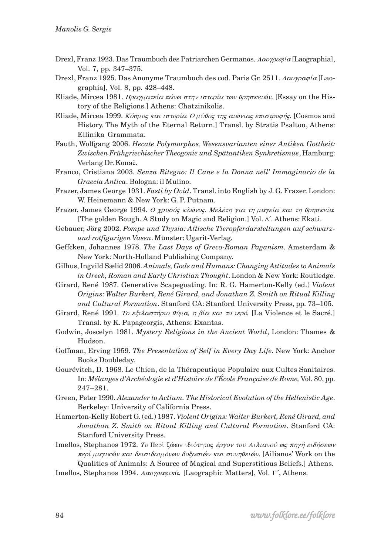- Drexl, Franz 1923. Das Traumbuch des Patriarchen Germanos.  $\Lambda \alpha o \gamma \rho \alpha \phi$  (Laographia), Vol. 7, pp. 347-375.
- Drexl, Franz 1925. Das Anonyme Traumbuch des cod. Paris Gr. 2511. Λαογραφία [Laographia], Vol. 8, pp. 428-448.
- Eliade, Mircea 1981. Πραγματεία πάνω στην ιστορία των θρησκειών. [Essay on the History of the Religions.] Athens: Chatzinikolis.
- Eliade, Mircea 1999. Κόσμος και ιστορία. Ο μύθος της αιώνιας επιστροφής. [Cosmos and History. The Myth of the Eternal Return.] Transl. by Stratis Psaltou, Athens: Ellinika Grammata.
- Fauth, Wolfgang 2006. Hecate Polymorphos, Wesensvarianten einer Antiken Gottheit: Zwischen Frühgriechischer Theogonie und Spätantiken Synkretismus, Hamburg: Verlang Dr. Konač.
- Franco, Cristiana 2003. Senza Ritegno: Il Cane e la Donna nell'Immaginario de la Graecia Antica. Bologna: il Mulino.
- Frazer, James George 1931. Fasti by Ovid. Transl. into English by J. G. Frazer. London: W. Heinemann & New York: G. P. Putnam.
- Frazer, James George 1994. Ο χρυσός κλώνος. Μελέτη για τη μαγεία και τη θρησκεία. [The golden Bough. A Study on Magic and Religion.] Vol. ∆'. Athens: Ekati.
- Gebauer, Jörg 2002. Pompe und Thysia: Attische Tieropferdarstellungen auf schwarzund rotfigurigen Vasen. Münster: Ugarit-Verlag.
- Geffcken, Johannes 1978. The Last Days of Greco-Roman Paganism. Amsterdam & New York: North-Holland Publishing Company.
- Gilhus, Ingvild Sælid 2006. Animals, Gods and Humans: Changing Attitudes to Animals in Greek, Roman and Early Christian Thought. London & New York: Routledge.
- Girard, René 1987. Generative Scapegoating. In: R. G. Hamerton-Kelly (ed.) Violent Origins: Walter Burkert, René Girard, and Jonathan Z. Smith on Ritual Killing and Cultural Formation. Stanford CA: Stanford University Press, pp. 73-105.
- Girard, René 1991. To eξιλαστήριο θύμα, η βία και το ιερό. [La Violence et le Sacré.] Transl. by K. Papageorgis, Athens: Exantas.
- Godwin, Joscelyn 1981. Mystery Religions in the Ancient World, London: Thames & Hudson.
- Goffman, Erving 1959. The Presentation of Self in Every Day Life. New York: Anchor **Books Doubleday.**
- Gourévitch, D. 1968. Le Chien, de la Thérapeutique Populaire aux Cultes Sanitaires. In: Mélanges d'Archéologie et d'Histoire de l'École Française de Rome, Vol. 80, pp.  $247 - 281.$
- Green, Peter 1990. Alexander to Actium. The Historical Evolution of the Hellenistic Age. Berkeley: University of California Press.
- Hamerton-Kelly Robert G. (ed.) 1987. Violent Origins: Walter Burkert, René Girard, and Jonathan Z. Smith on Ritual Killing and Cultural Formation. Stanford CA: Stanford University Press.
- Imellos, Stephanos 1972. Το Περί ζώων ιδιότητος έργον του Αιλιανού ως πηγή ειδήσεων περί μαγικών και δεισιδαιμόνων δοξασιών και συνηθειών. [Ailianos' Work on the Qualities of Animals: A Source of Magical and Superstitious Beliefs.] Athens.
- Imellos, Stephanos 1994.  $\Lambda \alpha o \gamma \rho \alpha \varphi \iota \kappa \dot{\alpha}$ . [Laographic Matters], Vol.  $\Gamma$ , Athens.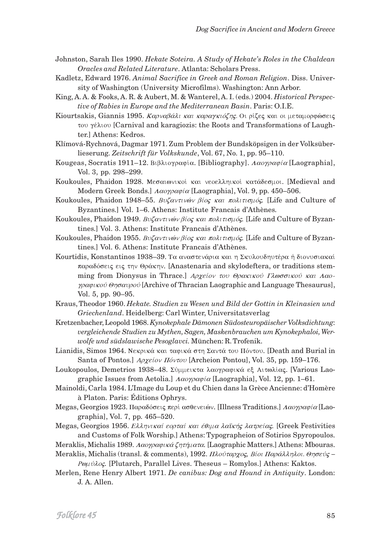- Johnston, Sarah Iles 1990. Hekate Soteira. A Study of Hekate's Roles in the Chaldean Oracles and Related Literature. Atlanta: Scholars Press.
- Kadletz, Edward 1976. Animal Sacrifice in Greek and Roman Religion. Diss. University of Washington (University Microfilms). Washington: Ann Arbor.

King, A. A. & Fooks, A. R. & Aubert, M. & Wanterel, A. I. (eds.) 2004. Historical Perspective of Rabies in Europe and the Mediterranean Basin. Paris: O.I.E.

Kiourtsakis, Giannis 1995. Καρναβάλι και καραγκιόζης. Οι ρίζες και οι μεταμορφώσεις του γέλιου [Carnival and karagiozis: the Roots and Transformations of Laughter.] Athens: Kedros.

Klímová-Rychnová, Dagmar 1971. Zum Problem der Bundsköpsigen in der Volksüberlieserung. Zeitschrift für Volkskunde, Vol. 67, No. 1, pp. 95–110.

- Kougeas, Socratis 1911–12. Βιβλιογραφία. [Bibliography]. Λαογραφία [Laographia], Vol. 3, pp. 298-299.
- Koukoules, Phaidon 1928. Μεσαιωνικοί και νεοελληικοί κατάδεσμοι. [Medieval and Modern Greek Bonds.] Λαογραφία [Laographia], Vol. 9, pp. 450-506.
- Koukoules, Phaidon 1948–55. Buζαντινών βίος και πολιτισμός. [Life and Culture of Byzantines.] Vol. 1–6. Athens: Institute Francais d'Athènes.
- Koukoules, Phaidon 1949. Buζαντινών βίος και πολιτισμός. [Life and Culture of Byzantines.] Vol. 3. Athens: Institute Francais d'Athènes.
- Koukoules, Phaidon 1955. Buζαντινών βίος και πολιτισμός. [Life and Culture of Byzantines.] Vol. 6. Athens: Institute Francais d'Athènes.
- Kourtidis, Konstantinos 1938-39. Τα αναστενάρια και η Σκυλουδηυτέρα ή διονυσιακαί παραδόσεις εις την Θράκην. [Anastenaria and skylodeftera, or traditions stemming from Dionysus in Thrace. *Applier to Opakikov Tλωσσικού και Λαο-* $\gamma \rho \alpha \varphi \iota \kappa \omicron \varphi$  (Archive of Thracian Laographic and Language Thesaurus), Vol. 5, pp. 90-95.
- Kraus, Theodor 1960. Hekate. Studien zu Wesen und Bild der Gottin in Kleinasien und Griechenland. Heidelberg: Carl Winter, Universitatsverlag
- Kretzenbacher, Leopold 1968. Kynokephale Dämonen Südosteuropäischer Volksdichtung: vergleichende Studien zu Mythen, Sagen, Maskenbrauchen um Kynokephaloi, Werwolfe und südslawische Pesoglavci. München: R. Trofenik.
- Lianidis, Simos 1964. Νεκρικά και ταφικά στη Σαντά του Πόντου. [Death and Burial in Santa of Pontos.] *Αρχείον Πόντου* [Archeion Pontou], Vol. 35, pp. 159–176.
- Loukopoulos, Demetrios 1938-48. Σύμμεικτα λαογραφικά εξ Αιτωλίας. [Various Laographic Issues from Aetolia.  $A\alpha o\gamma\rho\alpha\varphi\alpha$  [Laographia], Vol. 12, pp. 1–61.
- Mainoldi, Carla 1984. L'Image du Loup et du Chien dans la Grèce Ancienne: d'Homère à Platon. Paris: Éditions Ophrys.
- Megas, Georgios 1923. Παραδόσεις περί ασθενειών. [Illness Traditions.] Λαογραφία [Laographia], Vol. 7, pp. 465–520.
- Megas, Georgios 1956. Ελληνικαί εορταί και έθιμα λαϊκής λατρείας. [Greek Festivities and Customs of Folk Worship.] Athens: Typographeion of Sotirios Spyropoulos.
- Meraklis, Michalis 1989. Λαογραφικά ζητήματα. [Laographic Matters.] Athens: Mbouras.
- Meraklis, Michalis (transl. & comments), 1992. Πλούταρχος, Βίοι Παράλληλοι. Θησεύς -Pouvidos. [Plutarch, Parallel Lives. Theseus - Romylos.] Athens: Kaktos.
- Merlen, Rene Henry Albert 1971. De canibus: Dog and Hound in Antiquity. London: J. A. Allen.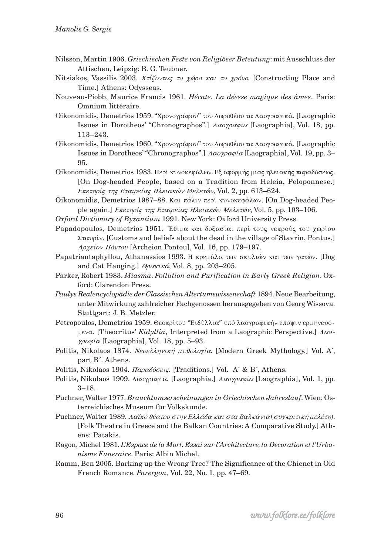- Nilsson, Martin 1906. Griechischen Feste von Religiöser Beteutung: mit Ausschluss der Attischen, Leipzig: B. G. Teubner.
- Nitsiakos, Vassilis 2003. Χτίζοντας το χώρο και το χρόνο. [Constructing Place and Time.] Athens: Odysseas.
- Nouveau-Piobb, Maurice Francis 1961. Hécate. La déesse magique des âmes. Paris: Omnium littéraire.
- Oikonomidis, Demetrios 1959. "Χρονογράφου" του Δωροθέου τα Λαογραφικά. [Laographic Issues in Dorotheos' "Chronographos".]  $\Lambda \alpha o \gamma \rho \alpha \phi \alpha$  [Laographia], Vol. 18, pp.  $113 - 243.$
- Oikonomidis, Demetrios 1960. "Χρονογράφου" του Δωροθέου τα Λαογραφικά. [Laographic Issues in Dorotheos' "Chronographos".]  $A\alpha o\gamma\rho\alpha\varphi\alpha\alpha$  [Laographia], Vol. 19, pp. 3– 95.
- Oikonomidis, Demetrios 1983. Περί κυνοκεφάλων. Εξ αφορμής μιας ηλειακής παραδόσεως. [On Dog-headed People, based on a Tradition from Heleia, Peloponnese.] Επετηρίς της Εταιρείας Ηλειακών Μελετών, Vol. 2, pp. 613-624.
- Oikonomidis, Demetrios 1987-88. Και πάλιν περί κυνοκεφάλων. [On Dog-headed People again.] *Επετηρίς της Εταιρείας Ηλειακών Μελετών*, Vol. 5, pp. 103-106.
- Oxford Dictionary of Byzantium 1991. New York: Oxford University Press.
- Papadopoulos, Demetrios 1951. Έθιμα και δοξασίαι περί τους νεκρούς του χωρίου Σταυρίν. [Customs and beliefs about the dead in the village of Stavrin, Pontus.] Αρχείον Πόντου [Archeion Pontou], Vol. 16, pp. 179–197.
- Papatriantaphyllou, Athanassios 1993. Η κρεμάλα των σκυλιών και των γατών. [Dog and Cat Hanging.]  $\Theta$ ρακικά, Vol. 8, pp. 203–205.
- Parker, Robert 1983. Miasma. Pollution and Purification in Early Greek Religion. Oxford: Clarendon Press.
- Paulys Realencyclopädie der Classischen Altertumswissenschaft 1894. Neue Bearbeitung, unter Mitwirkung zahlreicher Fachgenossen herausgegeben von Georg Wissova. Stuttgart: J. B. Metzler.
- Petropoulos, Demetrios 1959. Θεοκρίτου "Ειδύλλια" υπό λαογραφικήν έποψιν ερμηνευόμενα. [Theocritus' Eidyllia, Interpreted from a Laographic Perspective.]  $A\alpha o$ - $\gamma \rho \alpha \varphi i \alpha$  [Laographia], Vol. 18, pp. 5-93.
- Politis, Nikolaos 1874. Νεοελληνική μυθολογία. [Modern Greek Mythology.] Vol. A, part B'. Athens.
- Politis, Nikolaos 1904. Παραδόσεις. [Traditions.] Vol. A' & B', Athens.
- Politis, Nikolaos 1909. Λαογραφία. [Laographia.] Λαογραφία [Laographia], Vol. 1, pp.  $3 - 18.$
- Puchner, Walter 1977. Brauchtumserscheinungen in Griechischen Jahreslauf. Wien: Österreichisches Museum für Volkskunde.
- Puchner, Walter 1989. Λαϊκό θέατρο στην Ελλάδα και στα Βαλκάνια (συγκριτική μελέτη). [Folk Theatre in Greece and the Balkan Countries: A Comparative Study.] Athens: Patakis.
- Ragon, Michel 1981. L'Espace de la Mort. Essai sur l'Architecture, la Decoration et l'Urbanisme Funeraire. Paris: Albin Michel.
- Ramm, Ben 2005. Barking up the Wrong Tree? The Significance of the Chienet in Old French Romance. Parergon, Vol. 22, No. 1, pp. 47-69.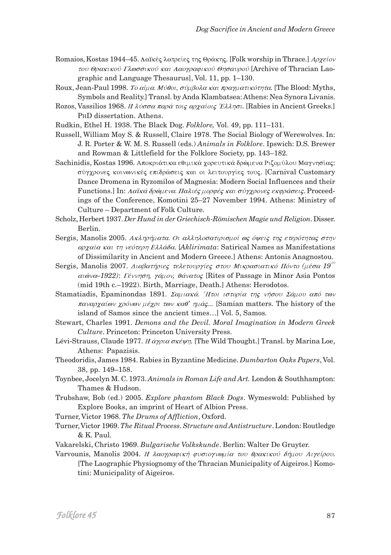- Romaios, Kostas 1944–45. Λαϊκές λατρείες της Θράκης. [Folk worship in Thrace.] Αρχείον του Θρακικού Γλωσσικού και Λαογραφικού Θησαυρού [Archive of Thracian Laographic and Language Thesaurus], Vol. 11, pp. 1-130.
- Roux, Jean-Paul 1998. Το αίμα. Μύθοι, σύμβολα και πραγματικότητα. [The Blood: Myths, Symbols and Reality.] Transl. by Anda Klambatsea: Athens: Nea Synora Livanis.
- Rozos, Vassilios 1968. *H*  $\lambda \check{v}$ σσα παρά τοις αρχαίοις Έλλησι. [Rabies in Ancient Greeks.] PHD dissertation. Athens.

Rudkin, Ethel H. 1938. The Black Dog. Folklore, Vol. 49, pp. 111–131.

- Russell, William Moy S. & Russell, Claire 1978. The Social Biology of Werewolves. In: J. R. Porter & W. M. S. Russell (eds.) Animals in Folklore. Ipswich: D.S. Brewer and Rowman & Littlefield for the Folklore Society, pp. 143-182.
- Sachinidis, Kostas 1996. Αποκριάτικα εθιμικά χορευτικά δρώμενα Ριζομύλου Μαγνησίας: σύγχρονες κοινωνικές επιδράσεις και οι λειτουργίες τους. [Carnival Customary Dance Dromena in Ryzomilos of Magnesia: Modern Social Influences and their Functions.] In: Λαϊκά δρώμενα. Παλιές μορφές και σύγχρονες εκφράσεις. Proceedings of the Conference, Komotini 25–27 November 1994. Athens: Ministry of Culture – Department of Folk Culture.
- Scholz, Herbert 1937. Der Hund in der Griechisch-Römischen Magie und Religion. Disser. Berlin.
- Sergis, Manolis 2005. Ακληρήματα. Οι αλληλοσατιρισμοί ως όψεις της ετερότητας στην αρχαία και τη νεότερη Ελλάδα. [Aklirimata: Satirical Names as Manifestations of Dissimilarity in Ancient and Modern Greece.] Athens: Antonis Anagnostou.
- Sergis, Manolis 2007. Διαβατήριες τελετουργίες στου Μικρασιατικό Πόντο (μέσα 19<sup>00</sup> αιώνα-1922): Γέννηση, γάμον, θάνατος [Rites of Passage in Minor Asia Pontos (mid 19th c.-1922). Birth, Marriage, Death.] Athens: Herodotos.
- Stamatiadis, Epaminondas 1891. Σαμιακά. Ήτοι ιστορία της νήσου Σάμου από των παναρχαίων χρόνων μέχρι των καθ' ημάς... [Samian matters. The history of the island of Samos since the ancient times...] Vol. 5, Samos.
- Stewart, Charles 1991. Demons and the Devil. Moral Imagination in Modern Greek Culture. Princeton: Princeton University Press.
- Lévi-Strauss, Claude 1977. *H άγρια σκέψη*. [The Wild Thought.] Transl. by Marina Loe, Athens: Papazisis.
- Theodoridis, James 1984. Rabies in Byzantine Medicine. Dumbarton Oaks Papers, Vol. 38, pp. 149-158.
- Toynbee, Jocelyn M. C. 1973. Animals in Roman Life and Art. London & Southhampton: Thames & Hudson.
- Trubshaw, Bob (ed.) 2005. Explore phantom Black Dogs. Wymeswold: Published by Explore Books, an imprint of Heart of Albion Press.
- Turner, Victor 1968. The Drums of Affliction, Oxford.
- Turner, Victor 1969. The Ritual Process. Structure and Antistructure. London: Routledge & K. Paul.
- Vakarelski, Christo 1969. Bulgarische Volkskunde. Berlin: Walter De Gruyter.
- Varvounis, Manolis 2004. Η λαογραφική φυσιογνωμία του θρακικού δήμου Αιγείρου. [The Laographic Physiognomy of the Thracian Municipality of Aigeiros.] Komotini: Municipality of Aigeiros.